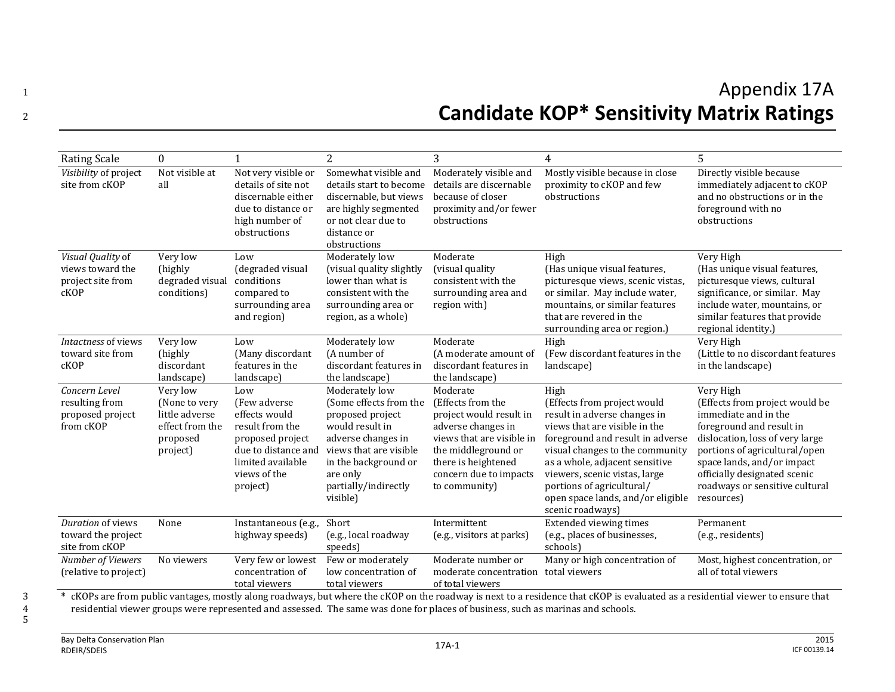## <sup>1</sup> Appendix 17A <sup>2</sup> **Candidate KOP\* Sensitivity Matrix Ratings**

| <b>Rating Scale</b>                                                | $\Omega$                                                                               |                                                                                                                                                     | $\overline{2}$                                                                                                                                                                                          | 3                                                                                                                                                                                                    | 4                                                                                                                                                                                                                                                                                                                                    | 5                                                                                                                                                                                                                                                                                 |
|--------------------------------------------------------------------|----------------------------------------------------------------------------------------|-----------------------------------------------------------------------------------------------------------------------------------------------------|---------------------------------------------------------------------------------------------------------------------------------------------------------------------------------------------------------|------------------------------------------------------------------------------------------------------------------------------------------------------------------------------------------------------|--------------------------------------------------------------------------------------------------------------------------------------------------------------------------------------------------------------------------------------------------------------------------------------------------------------------------------------|-----------------------------------------------------------------------------------------------------------------------------------------------------------------------------------------------------------------------------------------------------------------------------------|
| Visibility of project<br>site from cKOP                            | Not visible at<br>all                                                                  | Not very visible or<br>details of site not<br>discernable either<br>due to distance or<br>high number of<br>obstructions                            | Somewhat visible and<br>details start to become<br>discernable, but views<br>are highly segmented<br>or not clear due to<br>distance or<br>obstructions                                                 | Moderately visible and<br>details are discernable<br>because of closer<br>proximity and/or fewer<br>obstructions                                                                                     | Mostly visible because in close<br>proximity to cKOP and few<br>obstructions                                                                                                                                                                                                                                                         | Directly visible because<br>immediately adjacent to cKOP<br>and no obstructions or in the<br>foreground with no<br>obstructions                                                                                                                                                   |
| Visual Quality of<br>views toward the<br>project site from<br>cKOP | Very low<br>(highly)<br>degraded visual<br>conditions)                                 | Low<br>(degraded visual<br>conditions<br>compared to<br>surrounding area<br>and region)                                                             | Moderately low<br>(visual quality slightly<br>lower than what is<br>consistent with the<br>surrounding area or<br>region, as a whole)                                                                   | Moderate<br>(visual quality)<br>consistent with the<br>surrounding area and<br>region with)                                                                                                          | High<br>(Has unique visual features,<br>picturesque views, scenic vistas,<br>or similar. May include water,<br>mountains, or similar features<br>that are revered in the<br>surrounding area or region.)                                                                                                                             | Very High<br>(Has unique visual features,<br>picturesque views, cultural<br>significance, or similar. May<br>include water, mountains, or<br>similar features that provide<br>regional identity.)                                                                                 |
| Intactness of views<br>toward site from<br>cKOP                    | Very low<br>(highly<br>discordant<br>landscape)                                        | Low<br>(Many discordant<br>features in the<br>landscape)                                                                                            | Moderately low<br>(A number of<br>discordant features in<br>the landscape)                                                                                                                              | Moderate<br>(A moderate amount of<br>discordant features in<br>the landscape)                                                                                                                        | High<br>(Few discordant features in the<br>landscape)                                                                                                                                                                                                                                                                                | Very High<br>(Little to no discordant features<br>in the landscape)                                                                                                                                                                                                               |
| Concern Level<br>resulting from<br>proposed project<br>from cKOP   | Very low<br>(None to very<br>little adverse<br>effect from the<br>proposed<br>project) | Low<br>(Few adverse<br>effects would<br>result from the<br>proposed project<br>due to distance and<br>limited available<br>views of the<br>project) | Moderately low<br>(Some effects from the<br>proposed project<br>would result in<br>adverse changes in<br>views that are visible<br>in the background or<br>are only<br>partially/indirectly<br>visible) | Moderate<br>(Effects from the<br>project would result in<br>adverse changes in<br>views that are visible in<br>the middleground or<br>there is heightened<br>concern due to impacts<br>to community) | High<br>(Effects from project would<br>result in adverse changes in<br>views that are visible in the<br>foreground and result in adverse<br>visual changes to the community<br>as a whole, adjacent sensitive<br>viewers, scenic vistas, large<br>portions of agricultural/<br>open space lands, and/or eligible<br>scenic roadways) | Very High<br>(Effects from project would be<br>immediate and in the<br>foreground and result in<br>dislocation, loss of very large<br>portions of agricultural/open<br>space lands, and/or impact<br>officially designated scenic<br>roadways or sensitive cultural<br>resources) |
| Duration of views<br>toward the project<br>site from cKOP          | None                                                                                   | Instantaneous (e.g.,<br>highway speeds)                                                                                                             | Short<br>(e.g., local roadway<br>speeds)                                                                                                                                                                | Intermittent<br>(e.g., visitors at parks)                                                                                                                                                            | <b>Extended viewing times</b><br>(e.g., places of businesses,<br>schools)                                                                                                                                                                                                                                                            | Permanent<br>(e.g., residents)                                                                                                                                                                                                                                                    |
| Number of Viewers<br>(relative to project)                         | No viewers                                                                             | Very few or lowest<br>concentration of<br>total viewers                                                                                             | Few or moderately<br>low concentration of<br>total viewers                                                                                                                                              | Moderate number or<br>moderate concentration total viewers<br>of total viewers                                                                                                                       | Many or high concentration of                                                                                                                                                                                                                                                                                                        | Most, highest concentration, or<br>all of total viewers                                                                                                                                                                                                                           |

<sup>\*</sup> cKOPs are from public vantages, mostly along roadways, but where the cKOP on the roadway is next to a residence that cKOP is evaluated as a residential viewer to ensure that residential viewer groups were represented a residential viewer groups were represented and assessed. The same was done for places of business, such as marinas and schools.

5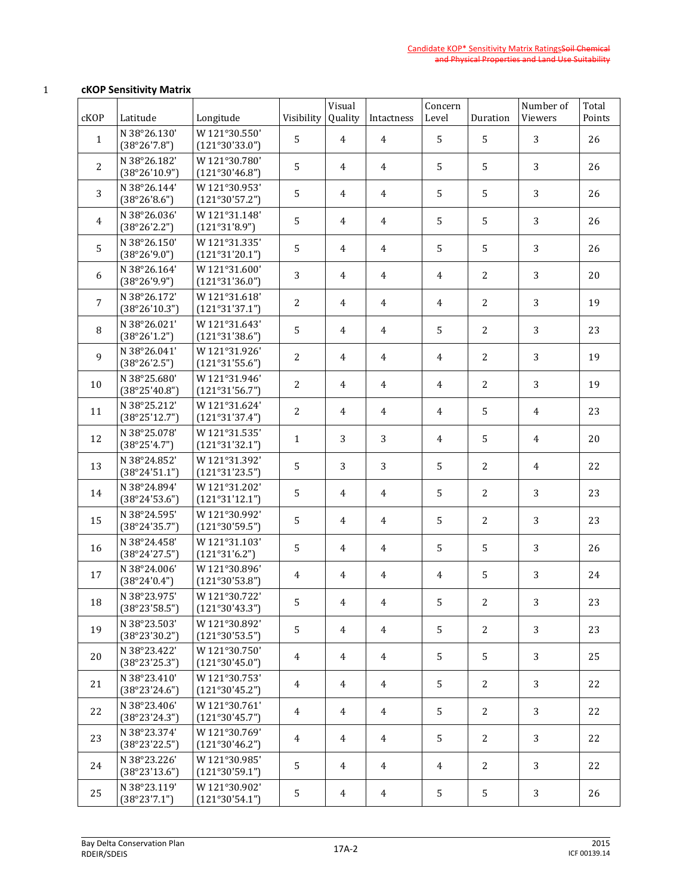## 1 **cKOP Sensitivity Matrix**

| cKOP           | Latitude                      | Longitude                       | Visibility     | Visual<br>Quality | Intactness     | Concern<br>Level | Duration       | Number of<br>Viewers | Total<br>Points |
|----------------|-------------------------------|---------------------------------|----------------|-------------------|----------------|------------------|----------------|----------------------|-----------------|
| $\mathbf{1}$   | N 38°26.130'<br>(38°26'7.8")  | W121°30.550'<br>(121°30'33.0")  | 5              | 4                 | 4              | 5                | 5              | 3                    | 26              |
| $\overline{2}$ | N 38°26.182'<br>(38°26'10.9") | W 121°30.780'<br>(121°30'46.8") | 5              | 4                 | $\overline{4}$ | 5                | 5              | 3                    | 26              |
| 3              | N 38°26.144'<br>(38°26'8.6")  | W121°30.953'<br>(121°30'57.2")  | 5              | 4                 | 4              | 5                | 5              | 3                    | 26              |
| 4              | N 38°26.036'<br>(38°26'2.2")  | W121°31.148'<br>(121°31'8.9")   | 5              | 4                 | 4              | 5                | 5              | 3                    | 26              |
| 5              | N 38°26.150'<br>(38°26'9.0")  | W121°31.335'<br>(121°31'20.1")  | 5              | 4                 | $\overline{4}$ | 5                | 5              | 3                    | 26              |
| 6              | N 38°26.164'<br>(38°26'9.9")  | W121°31.600'<br>(121°31'36.0")  | 3              | 4                 | $\overline{4}$ | $\overline{4}$   | 2              | 3                    | 20              |
| $\overline{7}$ | N 38°26.172'<br>(38°26'10.3") | W121°31.618'<br>(121°31'37.1")  | $\overline{2}$ | 4                 | $\overline{4}$ | $\overline{4}$   | 2              | 3                    | 19              |
| 8              | N 38°26.021'<br>(38°26'1.2")  | W 121°31.643'<br>(121°31'38.6") | 5              | 4                 | $\overline{4}$ | 5                | 2              | 3                    | 23              |
| 9              | N 38°26.041'<br>(38°26'2.5")  | W121°31.926'<br>(121°31'55.6")  | $\overline{2}$ | 4                 | $\overline{4}$ | $\overline{4}$   | 2              | 3                    | 19              |
| 10             | N 38°25.680'<br>(38°25'40.8") | W121°31.946'<br>(121°31'56.7")  | $\overline{2}$ | 4                 | $\overline{4}$ | $\overline{4}$   | 2              | 3                    | 19              |
| 11             | N 38°25.212'<br>(38°25'12.7") | W121°31.624'<br>(121°31'37.4")  | 2              | 4                 | $\overline{4}$ | $\overline{4}$   | 5              | $\overline{4}$       | 23              |
| 12             | N 38°25.078'<br>(38°25'4.7")  | W121°31.535'<br>(121°31'32.1")  | $\mathbf{1}$   | 3                 | 3              | $\overline{4}$   | 5              | $\overline{4}$       | 20              |
| 13             | N 38°24.852'<br>(38°24'51.1") | W 121°31.392'<br>(121°31'23.5") | 5              | 3                 | 3              | 5                | 2              | $\overline{4}$       | 22              |
| 14             | N 38°24.894'<br>(38°24'53.6") | W121°31.202'<br>(121°31'12.1")  | 5              | 4                 | $\overline{4}$ | 5                | $\overline{2}$ | 3                    | 23              |
| 15             | N 38°24.595'<br>(38°24'35.7") | W121°30.992'<br>(121°30'59.5")  | 5              | 4                 | $\overline{4}$ | 5                | 2              | 3                    | 23              |
| 16             | N 38°24.458'<br>(38°24'27.5") | W121°31.103'<br>(121°31'6.2")   | 5              | 4                 | 4              | 5                | 5              | 3                    | 26              |
| 17             | N 38°24.006'<br>(38°24'0.4")  | W121°30.896'<br>(121°30'53.8")  | 4              | 4                 | $\overline{4}$ | $\overline{4}$   | 5              | 3                    | 24              |
| 18             | N 38°23.975'<br>(38°23'58.5") | W 121°30.722'<br>(121°30'43.3") | 5              | 4                 | 4              | 5 <sup>1</sup>   | $\mathbf{2}$   | 3 <sup>1</sup>       | 23              |
| 19             | N 38°23.503'<br>(38°23'30.2") | W121°30.892'<br>(121°30'53.5")  | 5              | 4                 | $\overline{4}$ | 5                | 2              | 3                    | 23              |
| 20             | N 38°23.422'<br>(38°23'25.3") | W 121°30.750'<br>(121°30'45.0") | 4              | $\overline{4}$    | $\overline{4}$ | 5                | 5              | 3                    | 25              |
| 21             | N 38°23.410'<br>(38°23'24.6") | W 121°30.753'<br>(121°30'45.2") | 4              | $\overline{4}$    | $\overline{4}$ | 5                | 2              | 3                    | 22              |
| 22             | N 38°23.406'<br>(38°23'24.3") | W121°30.761'<br>(121°30'45.7")  | $\overline{4}$ | $\overline{4}$    | $\overline{4}$ | 5                | 2              | 3                    | 22              |
| 23             | N 38°23.374'<br>(38°23'22.5") | W 121°30.769'<br>(121°30'46.2") | 4              | $\overline{4}$    | $\overline{4}$ | 5                | 2              | 3                    | 22              |
| 24             | N 38°23.226'<br>(38°23'13.6") | W 121°30.985'<br>(121°30'59.1") | 5              | $\overline{4}$    | $\overline{4}$ | $\overline{4}$   | 2              | 3                    | 22              |
| 25             | N 38°23.119'<br>(38°23'7.1")  | W121°30.902'<br>(121°30'54.1")  | 5              | $\overline{4}$    | $\overline{4}$ | 5                | 5              | 3                    | 26              |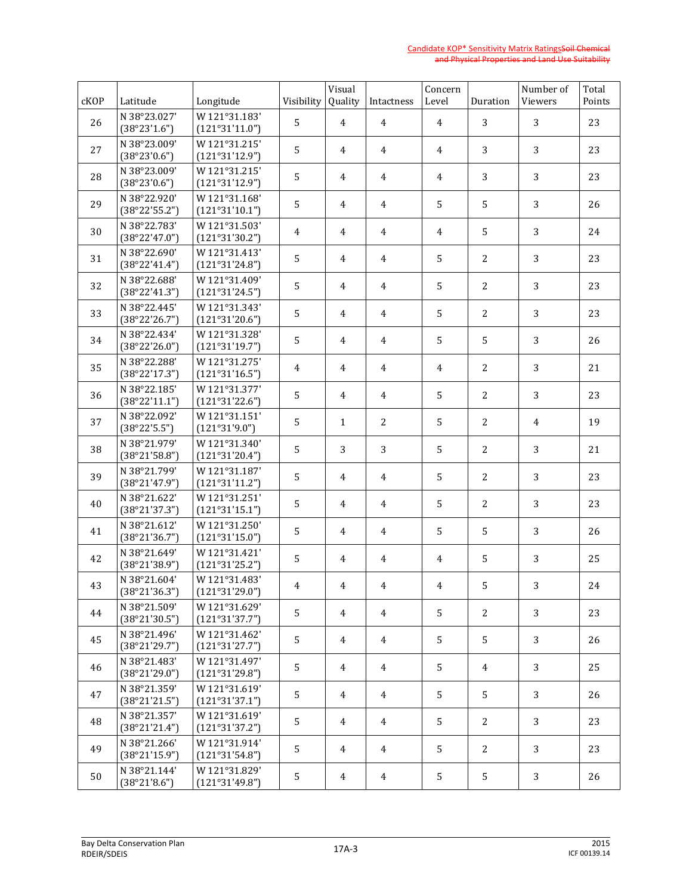| cKOP | Latitude                      | Longitude                       | Visibility | Visual<br>Quality | Intactness     | Concern<br>Level | Duration       | Number of<br>Viewers | Total<br>Points |
|------|-------------------------------|---------------------------------|------------|-------------------|----------------|------------------|----------------|----------------------|-----------------|
| 26   | N 38°23.027'<br>(38°23'1.6")  | W121°31.183'<br>(121°31'11.0")  | 5          | 4                 | $\overline{4}$ | $\overline{4}$   | 3              | 3                    | 23              |
| 27   | N 38°23.009'<br>(38°23'0.6")  | W121°31.215'<br>(121°31'12.9")  | 5          | 4                 | 4              | $\overline{4}$   | 3              | 3                    | 23              |
| 28   | N 38°23.009'<br>(38°23'0.6")  | W121°31.215'<br>(121°31'12.9")  | 5          | $\overline{4}$    | 4              | $\overline{4}$   | 3              | 3                    | 23              |
| 29   | N 38°22.920'<br>(38°22'55.2") | W121°31.168'<br>(121°31'10.1")  | 5          | 4                 | 4              | 5                | 5              | 3                    | 26              |
| 30   | N 38°22.783'<br>(38°22'47.0") | W121°31.503'<br>(121°31'30.2")  | 4          | 4                 | 4              | 4                | 5              | 3                    | 24              |
| 31   | N 38°22.690'<br>(38°22'41.4") | W121°31.413'<br>(121°31'24.8")  | 5          | 4                 | 4              | 5                | 2              | 3                    | 23              |
| 32   | N 38°22.688'<br>(38°22'41.3") | W121°31.409'<br>(121°31'24.5")  | 5          | $\overline{4}$    | 4              | 5                | 2              | 3                    | 23              |
| 33   | N 38°22.445'<br>(38°22'26.7") | W121°31.343'<br>(121°31'20.6")  | 5          | 4                 | 4              | 5                | 2              | 3                    | 23              |
| 34   | N 38°22.434'<br>(38°22'26.0") | W 121°31.328'<br>(121°31'19.7") | 5          | $\overline{4}$    | 4              | 5                | 5              | 3                    | 26              |
| 35   | N 38°22.288'<br>(38°22'17.3") | W 121°31.275'<br>(121°31'16.5") | 4          | 4                 | $\overline{4}$ | $\overline{4}$   | 2              | 3                    | 21              |
| 36   | N 38°22.185'<br>(38°22'11.1") | W121°31.377'<br>(121°31'22.6")  | 5          | 4                 | 4              | 5                | $\overline{2}$ | 3                    | 23              |
| 37   | N 38°22.092'<br>(38°22'5.5")  | W121°31.151'<br>(121°31'9.0")   | 5          | $\mathbf{1}$      | 2              | 5                | 2              | 4                    | 19              |
| 38   | N 38°21.979'<br>(38°21'58.8") | W 121°31.340'<br>(121°31'20.4") | $\sqrt{5}$ | 3                 | 3              | 5                | 2              | 3                    | 21              |
| 39   | N 38°21.799'<br>(38°21'47.9") | W 121°31.187'<br>(121°31'11.2") | 5          | 4                 | 4              | 5                | 2              | 3                    | 23              |
| 40   | N 38°21.622'<br>(38°21'37.3") | W121°31.251'<br>(121°31'15.1")  | 5          | 4                 | 4              | 5                | 2              | 3                    | 23              |
| 41   | N 38°21.612'<br>(38°21'36.7") | W121°31.250'<br>(121°31'15.0")  | 5          | 4                 | 4              | 5                | 5              | 3                    | 26              |
| 42   | N 38°21.649'<br>(38°21'38.9") | W121°31.421'<br>(121°31'25.2")  | 5          | 4                 | $\overline{4}$ | $\overline{4}$   | 5              | 3                    | 25              |
| 43   | N 38°21.604'<br>(38°21'36.3") | W121°31.483'<br>(121°31'29.0")  | 4          | 4                 | 4              | 4                | 5              | 3                    | 24              |
| 44   | N 38°21.509'<br>(38°21'30.5") | W121°31.629'<br>(121°31'37.7")  | 5          | 4                 | $\overline{4}$ | 5                | 2              | 3                    | 23              |
| 45   | N 38°21.496'<br>(38°21'29.7") | W 121°31.462'<br>(121°31'27.7") | 5          | 4                 | $\overline{4}$ | 5                | 5              | 3                    | 26              |
| 46   | N 38°21.483'<br>(38°21'29.0") | W121°31.497'<br>(121°31'29.8")  | 5          | 4                 | $\overline{4}$ | 5                | $\overline{4}$ | 3                    | 25              |
| 47   | N 38°21.359'<br>(38°21'21.5") | W 121°31.619'<br>(121°31'37.1") | 5          | 4                 | $\overline{4}$ | 5                | 5              | 3                    | 26              |
| 48   | N 38°21.357'<br>(38°21'21.4") | W121°31.619'<br>(121°31'37.2")  | 5          | 4                 | $\overline{4}$ | 5                | 2              | 3                    | 23              |
| 49   | N 38°21.266'<br>(38°21'15.9") | W 121°31.914'<br>(121°31'54.8") | 5          | 4                 | $\overline{4}$ | 5                | 2              | 3                    | 23              |
| 50   | N 38°21.144'<br>(38°21'8.6")  | W121°31.829'<br>(121°31'49.8")  | 5          | 4                 | $\overline{4}$ | 5                | 5              | 3                    | 26              |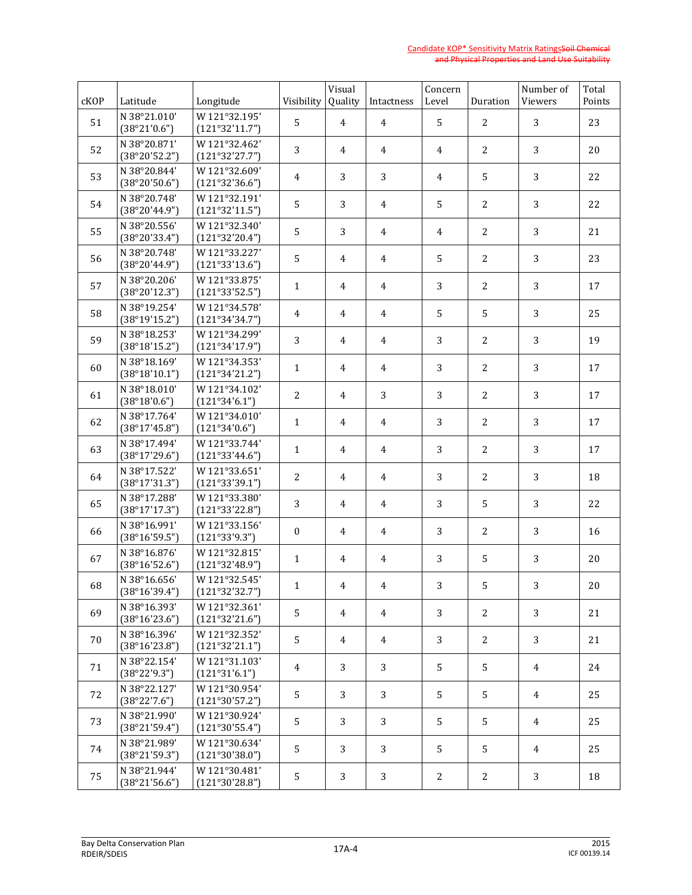| cKOP | Latitude                      | Longitude                       | Visibility       | Visual<br>Quality | Intactness     | Concern<br>Level | Duration       | Number of<br>Viewers | Total<br>Points |
|------|-------------------------------|---------------------------------|------------------|-------------------|----------------|------------------|----------------|----------------------|-----------------|
| 51   | N 38°21.010'<br>(38°21'0.6")  | W121°32.195'<br>(121°32'11.7")  | 5                | 4                 | $\overline{4}$ | 5                | 2              | 3                    | 23              |
| 52   | N 38°20.871'<br>(38°20'52.2") | W 121°32.462'<br>(121°32'27.7") | 3                | 4                 | 4              | $\overline{4}$   | 2              | 3                    | 20              |
| 53   | N 38°20.844'<br>(38°20'50.6") | W121°32.609'<br>(121°32'36.6")  | 4                | 3                 | 3              | $\overline{4}$   | 5              | 3                    | 22              |
| 54   | N 38°20.748'<br>(38°20'44.9") | W121°32.191'<br>(121°32'11.5")  | 5                | 3                 | 4              | 5                | $\overline{2}$ | 3                    | 22              |
| 55   | N 38°20.556'<br>(38°20'33.4") | W121°32.340'<br>(121°32'20.4")  | $\sqrt{5}$       | 3                 | 4              | 4                | $\overline{2}$ | 3                    | 21              |
| 56   | N 38°20.748'<br>(38°20'44.9") | W 121°33.227'<br>(121°33'13.6") | 5                | 4                 | 4              | 5                | 2              | 3                    | 23              |
| 57   | N 38°20.206'<br>(38°20'12.3") | W121°33.875'<br>(121°33'52.5")  | $\mathbf{1}$     | $\overline{4}$    | 4              | 3                | 2              | 3                    | 17              |
| 58   | N 38°19.254'<br>(38°19'15.2") | W 121°34.578'<br>(121°34'34.7") | 4                | 4                 | 4              | 5                | 5              | 3                    | 25              |
| 59   | N 38°18.253'<br>(38°18'15.2") | W 121°34.299'<br>(121°34'17.9") | 3                | $\overline{4}$    | 4              | 3                | 2              | 3                    | 19              |
| 60   | N 38°18.169'<br>(38°18'10.1") | W 121°34.353'<br>(121°34'21.2") | $\mathbf{1}$     | 4                 | 4              | 3                | 2              | 3                    | 17              |
| 61   | N 38°18.010'<br>(38°18'0.6")  | W 121°34.102'<br>(121°34'6.1")  | $\overline{2}$   | 4                 | 3              | 3                | $\overline{2}$ | 3                    | 17              |
| 62   | N 38°17.764'<br>(38°17'45.8") | W 121°34.010'<br>(121°34'0.6")  | $\mathbf{1}$     | 4                 | 4              | 3                | 2              | 3                    | 17              |
| 63   | N 38°17.494'<br>(38°17'29.6") | W 121°33.744'<br>(121°33'44.6") | $\mathbf{1}$     | 4                 | 4              | 3                | 2              | 3                    | 17              |
| 64   | N 38°17.522'<br>(38°17'31.3") | W 121°33.651'<br>(121°33'39.1") | 2                | 4                 | 4              | 3                | 2              | 3                    | 18              |
| 65   | N 38°17.288'<br>(38°17'17.3") | W121°33.380'<br>(121°33'22.8")  | 3                | 4                 | 4              | 3                | 5              | 3                    | 22              |
| 66   | N 38°16.991'<br>(38°16'59.5") | W121°33.156'<br>(121°33'9.3")   | $\boldsymbol{0}$ | 4                 | 4              | 3                | 2              | 3                    | 16              |
| 67   | N 38°16.876'<br>(38°16'52.6") | W121°32.815'<br>(121°32'48.9")  | $\mathbf{1}$     | 4                 | $\overline{4}$ | 3                | 5              | 3                    | 20              |
| 68   | N 38°16.656'<br>(38°16'39.4") | W 121°32.545'<br>(121°32'32.7") | 1                | 4                 | 4              | 3                | 5              | 3                    | 20              |
| 69   | N 38°16.393'<br>(38°16'23.6") | W 121°32.361'<br>(121°32'21.6") | 5                | 4                 | $\overline{4}$ | 3                | 2              | 3                    | 21              |
| 70   | N 38°16.396'<br>(38°16'23.8") | W 121°32.352'<br>(121°32'21.1") | 5                | 4                 | $\overline{4}$ | 3                | 2              | 3                    | 21              |
| 71   | N 38°22.154'<br>(38°22'9.3")  | W121°31.103'<br>(121°31'6.1")   | 4                | 3                 | 3              | 5                | 5              | $\overline{4}$       | 24              |
| 72   | N 38°22.127'<br>(38°22'7.6")  | W 121°30.954'<br>(121°30'57.2") | 5                | 3                 | 3              | 5                | 5              | $\overline{4}$       | 25              |
| 73   | N 38°21.990'<br>(38°21'59.4") | W121°30.924'<br>(121°30'55.4")  | 5                | 3                 | 3              | 5                | 5              | $\overline{4}$       | 25              |
| 74   | N 38°21.989'<br>(38°21'59.3") | W 121°30.634'<br>(121°30'38.0") | 5                | 3                 | 3              | 5                | 5              | $\overline{4}$       | 25              |
| 75   | N 38°21.944'<br>(38°21'56.6") | W121°30.481'<br>(121°30'28.8")  | 5                | 3                 | 3              | $\mathbf{2}$     | $\mathbf{2}$   | 3                    | 18              |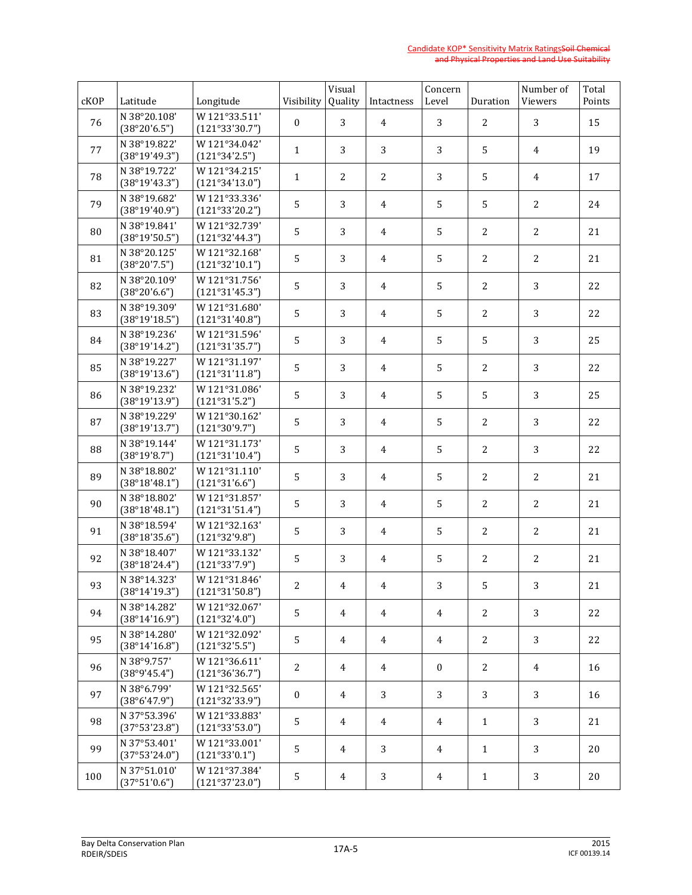| cKOP | Latitude                      | Longitude                       | Visibility       | Visual<br>Quality | Intactness     | Concern<br>Level | Duration       | Number of<br>Viewers | Total<br>Points |
|------|-------------------------------|---------------------------------|------------------|-------------------|----------------|------------------|----------------|----------------------|-----------------|
| 76   | N 38°20.108'<br>(38°20'6.5")  | W121°33.511'<br>(121°33'30.7")  | $\boldsymbol{0}$ | 3                 | $\overline{4}$ | 3                | $\overline{2}$ | 3                    | 15              |
| 77   | N 38°19.822'<br>(38°19'49.3") | W 121°34.042'<br>(121°34'2.5")  | $\mathbf{1}$     | 3                 | 3              | 3                | 5              | $\overline{4}$       | 19              |
| 78   | N 38°19.722'<br>(38°19'43.3") | W 121°34.215'<br>(121°34'13.0") | $\mathbf{1}$     | 2                 | 2              | 3                | 5              | $\overline{4}$       | 17              |
| 79   | N 38°19.682'<br>(38°19'40.9") | W 121°33.336'<br>(121°33'20.2") | 5                | 3                 | 4              | 5                | 5              | $\overline{c}$       | 24              |
| 80   | N 38°19.841'<br>(38°19'50.5") | W 121°32.739'<br>(121°32'44.3") | 5                | 3                 | 4              | 5                | $\overline{2}$ | $\overline{c}$       | 21              |
| 81   | N 38°20.125'<br>(38°20'7.5")  | W 121°32.168'<br>(121°32'10.1") | 5                | 3                 | 4              | 5                | 2              | 2                    | 21              |
| 82   | N 38°20.109'<br>(38°20'6.6")  | W 121°31.756'<br>(121°31'45.3") | 5                | 3                 | 4              | 5                | 2              | 3                    | 22              |
| 83   | N 38°19.309'<br>(38°19'18.5") | W121°31.680'<br>(121°31'40.8")  | 5                | 3                 | 4              | 5                | 2              | 3                    | 22              |
| 84   | N 38°19.236'<br>(38°19'14.2") | W 121°31.596'<br>(121°31'35.7") | 5                | 3                 | 4              | 5                | 5              | 3                    | 25              |
| 85   | N 38°19.227'<br>(38°19'13.6") | W121°31.197'<br>(121°31'11.8")  | 5                | 3                 | 4              | 5                | 2              | 3                    | 22              |
| 86   | N 38°19.232'<br>(38°19'13.9") | W121°31.086'<br>(121°31'5.2")   | 5                | 3                 | 4              | 5                | 5              | 3                    | 25              |
| 87   | N 38°19.229'<br>(38°19'13.7") | W 121°30.162'<br>(121°30'9.7")  | 5                | 3                 | 4              | 5                | 2              | 3                    | 22              |
| 88   | N 38°19.144'<br>(38°19'8.7")  | W121°31.173'<br>(121°31'10.4")  | 5                | 3                 | 4              | 5                | 2              | 3                    | 22              |
| 89   | N 38°18.802'<br>(38°18'48.1") | W121°31.110'<br>(121°31'6.6")   | 5                | 3                 | $\overline{4}$ | 5                | 2              | 2                    | 21              |
| 90   | N 38°18.802'<br>(38°18'48.1") | W 121°31.857'<br>(121°31'51.4") | 5                | 3                 | 4              | 5                | 2              | $\overline{c}$       | 21              |
| 91   | N 38°18.594'<br>(38°18'35.6") | W 121°32.163'<br>(121°32'9.8")  | 5                | 3                 | 4              | 5                | 2              | 2                    | 21              |
| 92   | N 38°18.407'<br>(38°18'24.4") | W 121°33.132'<br>(121°33'7.9")  | 5                | 3                 | 4              | 5                | 2              | $\overline{c}$       | 21              |
| 93   | N 38°14.323'<br>(38°14'19.3") | W121°31.846'<br>(121°31'50.8")  | $\overline{2}$   | 4                 | $\overline{4}$ | 3                | 5              | 3                    | 21              |
| 94   | N 38°14.282'<br>(38°14'16.9") | W121°32.067'<br>(121°32'4.0")   | 5                | 4                 | $\overline{4}$ | $\overline{4}$   | 2              | 3                    | 22              |
| 95   | N 38°14.280'<br>(38°14'16.8") | W 121°32.092'<br>(121°32'5.5")  | 5                | 4                 | $\overline{4}$ | $\overline{4}$   | $\mathbf{2}$   | 3                    | 22              |
| 96   | N 38°9.757'<br>(38°9'45.4")   | W 121°36.611'<br>(121°36'36.7") | $\overline{c}$   | 4                 | $\overline{4}$ | $\boldsymbol{0}$ | 2              | $\overline{4}$       | 16              |
| 97   | N 38°6.799'<br>(38°6'47.9")   | W121°32.565'<br>(121°32'33.9")  | $\boldsymbol{0}$ | 4                 | 3              | 3                | 3              | 3                    | 16              |
| 98   | N 37°53.396'<br>(37°53'23.8") | W121°33.883'<br>(121°33'53.0")  | 5                | 4                 | $\overline{4}$ | $\overline{4}$   | $\mathbf{1}$   | 3                    | 21              |
| 99   | N 37°53.401'<br>(37°53'24.0") | W 121°33.001'<br>(121°33'0.1")  | 5                | 4                 | 3              | $\overline{4}$   | $\mathbf{1}$   | 3                    | 20              |
| 100  | N 37°51.010'<br>(37°51'0.6")  | W121°37.384'<br>(121°37'23.0")  | 5                | $\overline{4}$    | 3              | $\overline{4}$   | $\mathbf{1}$   | 3                    | 20              |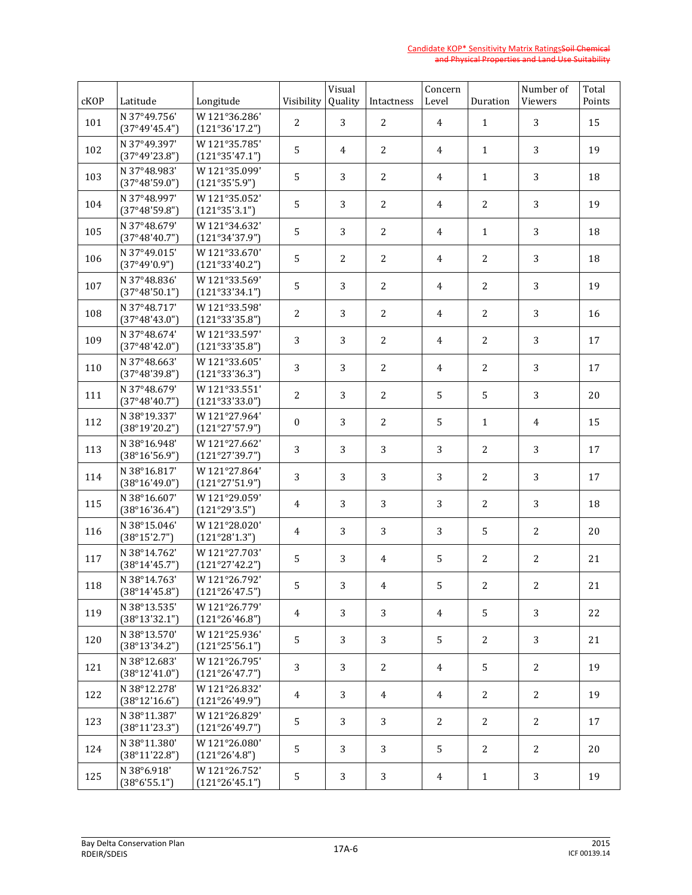| cKOP | Latitude                      | Longitude                       | Visibility     | Visual<br>Quality | Intactness     | Concern<br>Level | Duration       | Number of<br>Viewers | Total<br>Points |
|------|-------------------------------|---------------------------------|----------------|-------------------|----------------|------------------|----------------|----------------------|-----------------|
| 101  | N 37°49.756'<br>(37°49'45.4") | W 121°36.286'<br>(121°36'17.2") | 2              | 3                 | 2              | $\overline{4}$   | $\mathbf{1}$   | 3                    | 15              |
| 102  | N 37°49.397'<br>(37°49'23.8") | W 121°35.785'<br>(121°35'47.1") | 5              | 4                 | 2              | $\overline{4}$   | $\mathbf{1}$   | 3                    | 19              |
| 103  | N 37°48.983'<br>(37°48'59.0") | W121°35.099'<br>(121°35'5.9")   | 5              | 3                 | 2              | $\overline{4}$   | $\mathbf{1}$   | 3                    | 18              |
| 104  | N 37°48.997'<br>(37°48'59.8") | W121°35.052'<br>(121°35'3.1")   | 5              | 3                 | 2              | 4                | $\overline{2}$ | 3                    | 19              |
| 105  | N 37°48.679'<br>(37°48'40.7") | W 121°34.632'<br>(121°34'37.9") | 5              | 3                 | 2              | 4                | $\mathbf{1}$   | 3                    | 18              |
| 106  | N 37°49.015'<br>(37°49'0.9")  | W121°33.670'<br>(121°33'40.2")  | 5              | $\overline{2}$    | 2              | 4                | $\overline{2}$ | 3                    | 18              |
| 107  | N 37°48.836'<br>(37°48'50.1") | W121°33.569'<br>(121°33'34.1")  | 5              | 3                 | 2              | $\overline{4}$   | $\overline{2}$ | 3                    | 19              |
| 108  | N 37°48.717'<br>(37°48'43.0") | W121°33.598'<br>(121°33'35.8")  | $\overline{2}$ | 3                 | 2              | 4                | $\overline{2}$ | 3                    | 16              |
| 109  | N 37°48.674'<br>(37°48'42.0") | W 121°33.597'<br>(121°33'35.8") | 3              | 3                 | 2              | $\overline{4}$   | $\overline{2}$ | 3                    | 17              |
| 110  | N 37°48.663'<br>(37°48'39.8") | W 121°33.605'<br>(121°33'36.3") | 3              | 3                 | 2              | $\overline{4}$   | $\overline{2}$ | 3                    | 17              |
| 111  | N 37°48.679'<br>(37°48'40.7") | W121°33.551'<br>(121°33'33.0")  | $\overline{2}$ | 3                 | 2              | 5                | 5              | 3                    | 20              |
| 112  | N 38°19.337'<br>(38°19'20.2") | W 121°27.964'<br>(121°27'57.9") | $\mathbf{0}$   | 3                 | 2              | 5                | $\mathbf{1}$   | 4                    | 15              |
| 113  | N 38°16.948'<br>(38°16'56.9") | W 121°27.662'<br>(121°27'39.7") | 3              | 3                 | 3              | 3                | $\overline{2}$ | 3                    | 17              |
| 114  | N 38°16.817'<br>(38°16'49.0") | W 121°27.864'<br>(121°27'51.9") | 3              | 3                 | 3              | 3                | $\overline{2}$ | 3                    | 17              |
| 115  | N 38°16.607'<br>(38°16'36.4") | W 121°29.059'<br>(121°29'3.5")  | 4              | 3                 | 3              | 3                | 2              | 3                    | 18              |
| 116  | N 38°15.046'<br>(38°15'2.7")  | W 121°28.020'<br>(121°28'1.3")  | 4              | 3                 | 3              | 3                | 5              | 2                    | 20              |
| 117  | N 38°14.762'<br>(38°14'45.7") | W 121°27.703'<br>(121°27'42.2") | 5              | 3                 | 4              | 5                | 2              | $\overline{c}$       | 21              |
| 118  | N 38°14.763'<br>(38°14'45.8") | W 121°26.792'<br>(121°26'47.5") | 5              | 3                 | 4              | 5                | 2              | $\mathbf{2}$         | 21              |
| 119  | N 38°13.535'<br>(38°13'32.1") | W 121°26.779'<br>(121°26'46.8") | $\overline{4}$ | 3                 | 3              | $\overline{4}$   | 5              | 3                    | 22              |
| 120  | N 38°13.570'<br>(38°13'34.2") | W121°25.936'<br>(121°25'56.1")  | 5              | 3                 | 3              | 5                | 2              | 3                    | 21              |
| 121  | N 38°12.683'<br>(38°12'41.0") | W 121°26.795'<br>(121°26'47.7") | 3              | 3                 | 2              | $\overline{4}$   | 5              | 2                    | 19              |
| 122  | N 38°12.278'<br>(38°12'16.6") | W 121°26.832'<br>(121°26'49.9") | 4              | 3                 | $\overline{4}$ | $\overline{4}$   | 2              | $\mathbf{2}$         | 19              |
| 123  | N 38°11.387'<br>(38°11'23.3") | W121°26.829'<br>(121°26'49.7")  | 5              | 3                 | 3              | $\mathbf{2}$     | 2              | 2                    | 17              |
| 124  | N 38°11.380'<br>(38°11'22.8") | W121°26.080'<br>(121°26'4.8")   | 5              | 3                 | 3              | 5                | 2              | 2                    | 20              |
| 125  | N 38°6.918'<br>(38°6'55.1")   | W 121°26.752'<br>(121°26'45.1") | 5              | 3                 | 3              | $\overline{4}$   | $\mathbf{1}$   | 3                    | 19              |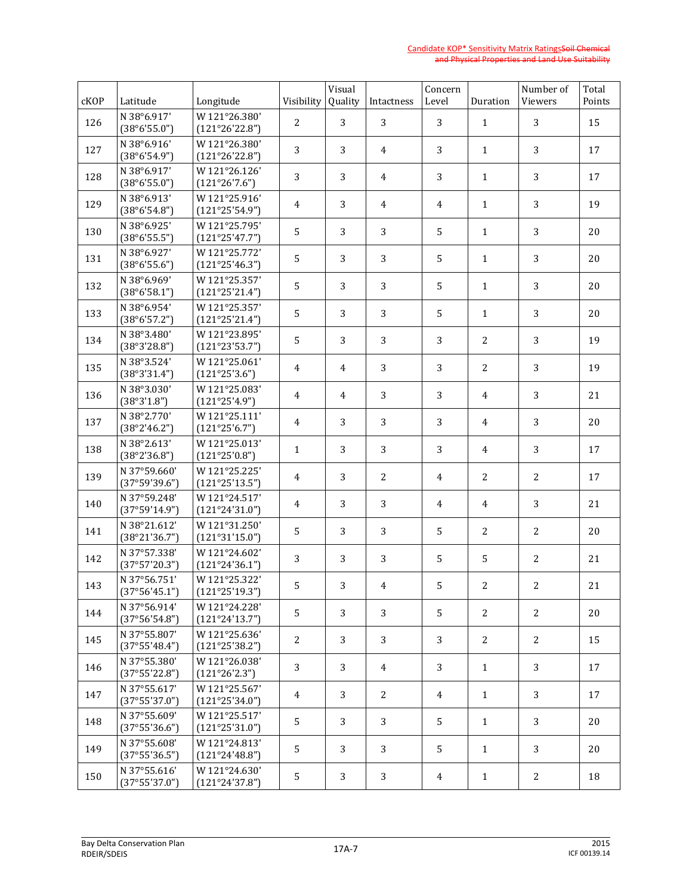| cKOP | Latitude                      | Longitude                       | Visibility     | Visual<br>Quality | Intactness     | Concern<br>Level | Duration       | Number of<br>Viewers | Total<br>Points |
|------|-------------------------------|---------------------------------|----------------|-------------------|----------------|------------------|----------------|----------------------|-----------------|
| 126  | N 38°6.917'<br>(38°6'55.0")   | W 121°26.380'<br>(121°26'22.8") | $\overline{2}$ | 3                 | 3              | 3                | $\mathbf{1}$   | 3                    | 15              |
| 127  | N 38°6.916'<br>(38°6'54.9")   | W 121°26.380'<br>(121°26'22.8") | 3              | 3                 | 4              | 3                | $\mathbf{1}$   | 3                    | 17              |
| 128  | N 38°6.917'<br>(38°6'55.0")   | W 121°26.126'<br>(121°26'7.6")  | 3              | 3                 | 4              | 3                | $\mathbf{1}$   | 3                    | 17              |
| 129  | N 38°6.913'<br>(38°6'54.8")   | W121°25.916'<br>(121°25'54.9")  | 4              | 3                 | $\overline{4}$ | 4                | $\mathbf{1}$   | 3                    | 19              |
| 130  | N 38°6.925'<br>(38°6'55.5")   | W 121°25.795'<br>(121°25'47.7") | 5              | 3                 | 3              | 5                | $\mathbf{1}$   | 3                    | 20              |
| 131  | N 38°6.927'<br>(38°6'55.6")   | W 121°25.772'<br>(121°25'46.3") | 5              | 3                 | 3              | 5                | $\mathbf{1}$   | 3                    | 20              |
| 132  | N 38°6.969'<br>(38°6'58.1")   | W121°25.357'<br>(121°25'21.4")  | 5              | 3                 | 3              | 5                | $\mathbf{1}$   | 3                    | 20              |
| 133  | N 38°6.954'<br>(38°6'57.2")   | W 121°25.357'<br>(121°25'21.4") | 5              | 3                 | 3              | 5                | $\mathbf{1}$   | 3                    | 20              |
| 134  | N 38°3.480'<br>(38°3'28.8")   | W 121°23.895'<br>(121°23'53.7") | 5              | 3                 | 3              | 3                | $\overline{c}$ | 3                    | 19              |
| 135  | N 38°3.524'<br>(38°3'31.4")   | W 121°25.061'<br>(121°25'3.6")  | 4              | 4                 | 3              | 3                | $\overline{c}$ | 3                    | 19              |
| 136  | N 38°3.030'<br>(38°3'1.8")    | W121°25.083'<br>(121°25'4.9")   | 4              | 4                 | 3              | 3                | 4              | 3                    | 21              |
| 137  | N 38°2.770'<br>(38°2'46.2")   | W121°25.111'<br>(121°25'6.7")   | 4              | 3                 | 3              | 3                | 4              | 3                    | 20              |
| 138  | N 38°2.613'<br>(38°2'36.8")   | W 121°25.013'<br>(121°25'0.8")  | $\mathbf{1}$   | 3                 | 3              | 3                | 4              | 3                    | 17              |
| 139  | N 37°59.660'<br>(37°59'39.6") | W 121°25.225'<br>(121°25'13.5") | 4              | 3                 | 2              | 4                | 2              | 2                    | 17              |
| 140  | N 37°59.248'<br>(37°59'14.9") | W 121°24.517'<br>(121°24'31.0") | 4              | 3                 | 3              | 4                | 4              | 3                    | 21              |
| 141  | N 38°21.612'<br>(38°21'36.7") | W121°31.250'<br>(121°31'15.0")  | 5              | 3                 | 3              | 5                | 2              | 2                    | 20              |
| 142  | N 37°57.338'<br>(37°57'20.3") | W 121°24.602'<br>(121°24'36.1") | 3              | 3                 | 3              | 5                | 5              | $\overline{c}$       | 21              |
| 143  | N 37°56.751'<br>(37°56'45.1") | W 121°25.322'<br>(121°25'19.3") | 5              | 3                 | 4              | 5                | 2              | $\mathbf{2}$         | 21              |
| 144  | N 37°56.914'<br>(37°56'54.8") | W 121°24.228'<br>(121°24'13.7") | 5              | 3                 | 3              | 5                | 2              | 2                    | 20              |
| 145  | N 37°55.807'<br>(37°55'48.4") | W 121°25.636'<br>(121°25'38.2") | 2              | 3                 | 3              | 3                | 2              | 2                    | 15              |
| 146  | N 37°55.380'<br>(37°55'22.8") | W121°26.038'<br>(121°26'2.3")   | 3              | 3                 | 4              | 3                | $\mathbf{1}$   | 3                    | 17              |
| 147  | N 37°55.617'<br>(37°55'37.0") | W 121°25.567'<br>(121°25'34.0") | 4              | 3                 | 2              | $\overline{4}$   | $\mathbf{1}$   | 3                    | 17              |
| 148  | N 37°55.609'<br>(37°55'36.6") | W 121°25.517'<br>(121°25'31.0") | 5              | 3                 | 3              | 5                | $\mathbf{1}$   | 3                    | 20              |
| 149  | N 37°55.608'<br>(37°55'36.5") | W 121°24.813'<br>(121°24'48.8") | 5              | 3                 | 3              | 5                | $\mathbf{1}$   | 3                    | 20              |
| 150  | N 37°55.616'<br>(37°55'37.0") | W 121°24.630'<br>(121°24'37.8") | 5              | 3                 | 3              | $\overline{4}$   | $\mathbf{1}$   | 2                    | 18              |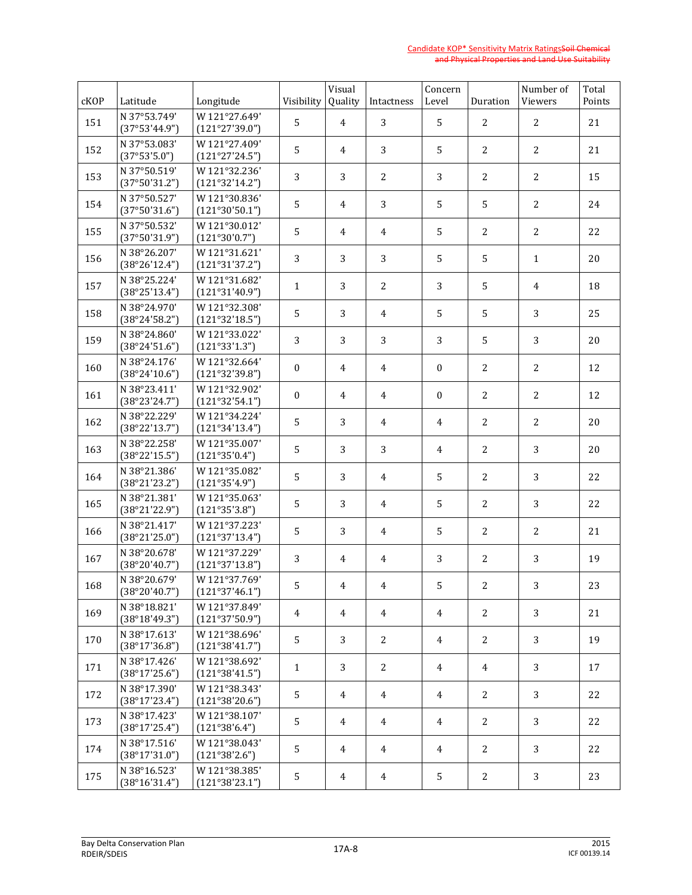| cKOP | Latitude                      | Longitude                       | Visibility       | Visual<br>Quality | Intactness     | Concern<br>Level | Duration       | Number of<br>Viewers | Total<br>Points |
|------|-------------------------------|---------------------------------|------------------|-------------------|----------------|------------------|----------------|----------------------|-----------------|
| 151  | N 37°53.749'<br>(37°53'44.9") | W 121°27.649'<br>(121°27'39.0") | 5                | 4                 | 3              | 5                | 2              | $\overline{2}$       | 21              |
| 152  | N 37°53.083'<br>(37°53'5.0")  | W 121°27.409'<br>(121°27'24.5") | 5                | 4                 | 3              | 5                | $\overline{2}$ | 2                    | 21              |
| 153  | N 37°50.519'<br>(37°50'31.2") | W121°32.236'<br>(121°32'14.2")  | 3                | 3                 | 2              | 3                | 2              | 2                    | 15              |
| 154  | N 37°50.527'<br>(37°50'31.6") | W121°30.836'<br>(121°30'50.1")  | 5                | 4                 | 3              | 5                | 5              | $\overline{c}$       | 24              |
| 155  | N 37°50.532'<br>(37°50'31.9") | W121°30.012'<br>(121°30'0.7")   | 5                | 4                 | 4              | 5                | $\overline{c}$ | $\overline{2}$       | 22              |
| 156  | N 38°26.207'<br>(38°26'12.4") | W121°31.621'<br>(121°31'37.2")  | 3                | 3                 | 3              | 5                | 5              | $\mathbf{1}$         | 20              |
| 157  | N 38°25.224'<br>(38°25'13.4") | W 121°31.682'<br>(121°31'40.9") | $\mathbf{1}$     | 3                 | 2              | 3                | 5              | $\overline{4}$       | 18              |
| 158  | N 38°24.970'<br>(38°24'58.2") | W121°32.308'<br>(121°32'18.5")  | 5                | 3                 | $\overline{4}$ | 5                | 5              | 3                    | 25              |
| 159  | N 38°24.860'<br>(38°24'51.6") | W 121°33.022'<br>(121°33'1.3")  | 3                | 3                 | 3              | 3                | 5              | 3                    | 20              |
| 160  | N 38°24.176'<br>(38°24'10.6") | W 121°32.664'<br>(121°32'39.8") | $\boldsymbol{0}$ | 4                 | $\overline{4}$ | $\boldsymbol{0}$ | $\overline{c}$ | $\overline{c}$       | 12              |
| 161  | N 38°23.411'<br>(38°23'24.7") | W121°32.902'<br>(121°32'54.1")  | $\mathbf{0}$     | 4                 | 4              | $\mathbf{0}$     | $\overline{c}$ | $\overline{c}$       | 12              |
| 162  | N 38°22.229'<br>(38°22'13.7") | W 121°34.224'<br>(121°34'13.4") | 5                | 3                 | 4              | 4                | $\overline{c}$ | $\overline{c}$       | 20              |
| 163  | N 38°22.258'<br>(38°22'15.5") | W 121°35.007'<br>(121°35'0.4")  | 5                | 3                 | 3              | 4                | $\overline{c}$ | 3                    | 20              |
| 164  | N 38°21.386'<br>(38°21'23.2") | W 121°35.082'<br>(121°35'4.9")  | 5                | 3                 | $\overline{4}$ | 5                | $\overline{c}$ | 3                    | 22              |
| 165  | N 38°21.381'<br>(38°21'22.9") | W121°35.063'<br>(121°35'3.8")   | 5                | 3                 | 4              | 5                | 2              | 3                    | 22              |
| 166  | N 38°21.417'<br>(38°21'25.0") | W 121°37.223'<br>(121°37'13.4") | 5                | 3                 | 4              | 5                | 2              | 2                    | 21              |
| 167  | N 38°20.678'<br>(38°20'40.7") | W 121°37.229'<br>(121°37'13.8") | 3                | 4                 | 4              | 3                | 2              | 3                    | 19              |
| 168  | N 38°20.679'<br>(38°20'40.7") | W 121°37.769'<br>(121°37'46.1") | 5                | 4                 | 4              | 5                | 2              | 3 <sup>1</sup>       | 23              |
| 169  | N 38°18.821'<br>(38°18'49.3") | W121°37.849'<br>(121°37'50.9")  | 4                | 4                 | 4              | $\overline{4}$   | 2              | 3                    | 21              |
| 170  | N 38°17.613'<br>(38°17'36.8") | W 121°38.696'<br>(121°38'41.7") | 5                | 3                 | 2              | $\overline{4}$   | 2              | 3                    | 19              |
| 171  | N 38°17.426'<br>(38°17'25.6") | W 121°38.692'<br>(121°38'41.5") | $\mathbf{1}$     | 3                 | 2              | $\overline{4}$   | $\overline{4}$ | 3                    | 17              |
| 172  | N 38°17.390'<br>(38°17'23.4") | W121°38.343'<br>(121°38'20.6")  | 5                | 4                 | $\overline{4}$ | $\overline{4}$   | 2              | 3                    | 22              |
| 173  | N 38°17.423'<br>(38°17'25.4") | W 121°38.107'<br>(121°38'6.4")  | 5                | 4                 | $\overline{4}$ | $\overline{4}$   | 2              | 3                    | 22              |
| 174  | N 38°17.516'<br>(38°17'31.0") | W121°38.043'<br>(121°38'2.6")   | 5                | 4                 | $\overline{4}$ | $\overline{4}$   | 2              | 3                    | 22              |
| 175  | N 38°16.523'<br>(38°16'31.4") | W121°38.385'<br>(121°38'23.1")  | 5                | 4                 | $\overline{4}$ | 5                | $\mathbf{2}$   | 3                    | 23              |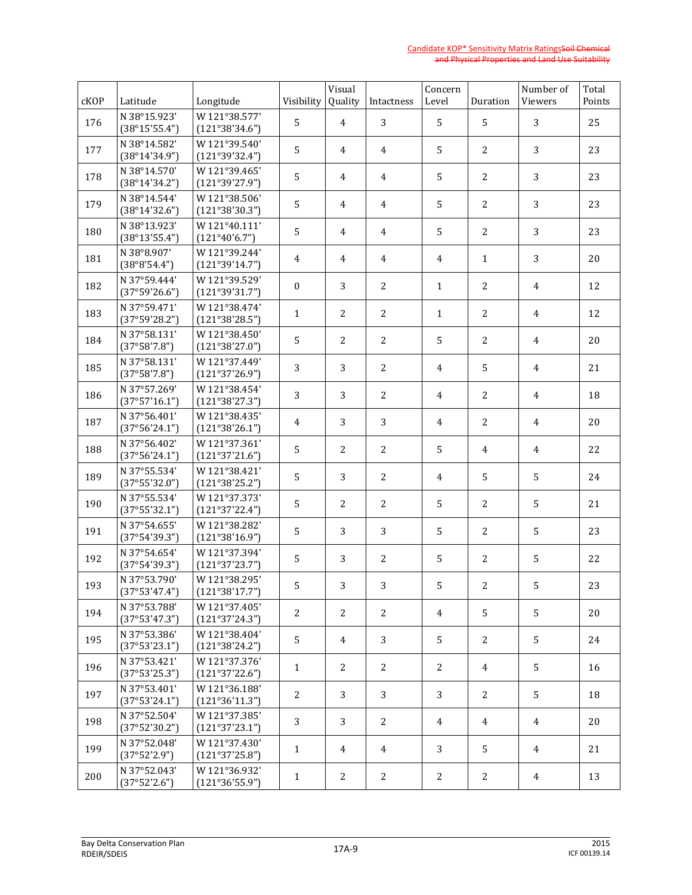| cKOP | Latitude                      | Longitude                       | Visibility       | Visual<br>Quality | Intactness     | Concern<br>Level | Duration       | Number of<br>Viewers | Total<br>Points |
|------|-------------------------------|---------------------------------|------------------|-------------------|----------------|------------------|----------------|----------------------|-----------------|
| 176  | N 38°15.923'<br>(38°15'55.4") | W 121°38.577'<br>(121°38'34.6") | 5                | 4                 | 3              | 5                | 5              | 3                    | 25              |
| 177  | N 38°14.582'<br>(38°14'34.9") | W121°39.540'<br>(121°39'32.4")  | 5                | 4                 | 4              | 5                | $\overline{2}$ | 3                    | 23              |
| 178  | N 38°14.570'<br>(38°14'34.2") | W 121°39.465'<br>(121°39'27.9") | 5                | 4                 | 4              | 5                | 2              | 3                    | 23              |
| 179  | N 38°14.544'<br>(38°14'32.6") | W121°38.506'<br>(121°38'30.3")  | 5                | 4                 | $\overline{4}$ | 5                | $\overline{2}$ | 3                    | 23              |
| 180  | N 38°13.923'<br>(38°13'55.4") | W121°40.111'<br>(121°40'6.7")   | 5                | 4                 | 4              | 5                | $\overline{2}$ | 3                    | 23              |
| 181  | N 38°8.907'<br>(38°8'54.4")   | W 121°39.244'<br>(121°39'14.7") | 4                | 4                 | $\overline{4}$ | 4                | $\mathbf{1}$   | 3                    | 20              |
| 182  | N 37°59.444'<br>(37°59'26.6") | W 121°39.529'<br>(121°39'31.7") | $\boldsymbol{0}$ | 3                 | 2              | $\mathbf{1}$     | $\overline{2}$ | $\overline{4}$       | 12              |
| 183  | N 37°59.471'<br>(37°59'28.2") | W121°38.474'<br>(121°38'28.5")  | $\mathbf{1}$     | $\overline{2}$    | 2              | $\mathbf{1}$     | $\overline{2}$ | 4                    | 12              |
| 184  | N 37°58.131'<br>(37°58'7.8")  | W 121°38.450'<br>(121°38'27.0") | 5                | $\overline{2}$    | 2              | 5                | $\overline{2}$ | $\overline{4}$       | 20              |
| 185  | N 37°58.131'<br>(37°58'7.8")  | W 121°37.449'<br>(121°37'26.9") | 3                | 3                 | 2              | $\overline{4}$   | 5              | $\overline{4}$       | 21              |
| 186  | N 37°57.269'<br>(37°57'16.1") | W121°38.454'<br>(121°38'27.3")  | 3                | 3                 | 2              | 4                | $\overline{2}$ | 4                    | 18              |
| 187  | N 37°56.401'<br>(37°56'24.1") | W 121°38.435'<br>(121°38'26.1") | 4                | 3                 | 3              | 4                | $\overline{2}$ | 4                    | 20              |
| 188  | N 37°56.402'<br>(37°56'24.1") | W 121°37.361'<br>(121°37'21.6") | 5                | $\overline{2}$    | 2              | 5                | 4              | 4                    | 22              |
| 189  | N 37°55.534'<br>(37°55'32.0") | W 121°38.421'<br>(121°38'25.2") | 5                | 3                 | 2              | 4                | 5              | 5                    | 24              |
| 190  | N 37°55.534'<br>(37°55'32.1") | W 121°37.373'<br>(121°37'22.4") | 5                | $\overline{2}$    | 2              | 5                | 2              | 5                    | 21              |
| 191  | N 37°54.655'<br>(37°54'39.3") | W 121°38.282'<br>(121°38'16.9") | 5                | 3                 | 3              | 5                | 2              | 5                    | 23              |
| 192  | N 37°54.654'<br>(37°54'39.3") | W 121°37.394'<br>(121°37'23.7") | 5                | 3                 | 2              | 5                | 2              | 5                    | 22              |
| 193  | N 37°53.790'<br>(37°53'47.4") | W 121°38.295'<br>(121°38'17.7") | 5                | 3                 | 3              | 5                | 2              | 5                    | 23              |
| 194  | N 37°53.788'<br>(37°53'47.3") | W 121°37.405'<br>(121°37'24.3") | 2                | 2                 | 2              | $\overline{4}$   | 5              | 5                    | 20              |
| 195  | N 37°53.386'<br>(37°53'23.1") | W 121°38.404'<br>(121°38'24.2") | 5                | 4                 | 3              | 5                | 2              | 5                    | 24              |
| 196  | N 37°53.421'<br>(37°53'25.3") | W121°37.376'<br>(121°37'22.6")  | $\mathbf{1}$     | 2                 | 2              | 2                | 4              | 5                    | 16              |
| 197  | N 37°53.401'<br>(37°53'24.1") | W 121°36.188'<br>(121°36'11.3") | 2                | 3                 | 3              | 3                | 2              | 5                    | 18              |
| 198  | N 37°52.504'<br>(37°52'30.2") | W 121°37.385'<br>(121°37'23.1") | 3                | 3                 | 2              | $\overline{4}$   | 4              | $\overline{4}$       | 20              |
| 199  | N 37°52.048'<br>(37°52'2.9")  | W 121°37.430'<br>(121°37'25.8") | $\mathbf{1}$     | 4                 | $\overline{4}$ | 3                | 5              | $\overline{4}$       | 21              |
| 200  | N 37°52.043'<br>(37°52'2.6")  | W121°36.932'<br>(121°36'55.9")  | $\mathbf{1}$     | 2                 | 2              | 2                | $\mathbf{2}$   | $\overline{4}$       | 13              |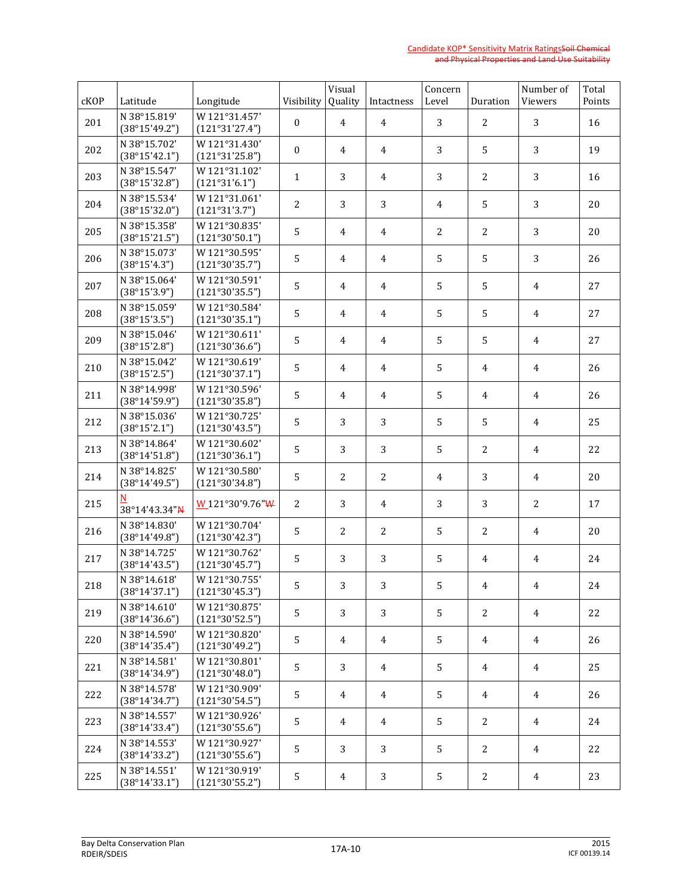| cKOP | Latitude                      | Longitude                       | Visibility       | Visual<br>Quality | Intactness     | Concern<br>Level | Duration       | Number of<br>Viewers | Total<br>Points |
|------|-------------------------------|---------------------------------|------------------|-------------------|----------------|------------------|----------------|----------------------|-----------------|
| 201  | N 38°15.819'<br>(38°15'49.2") | W121°31.457'<br>(121°31'27.4")  | $\boldsymbol{0}$ | 4                 | 4              | 3                | 2              | 3                    | 16              |
| 202  | N 38°15.702'<br>(38°15'42.1") | W121°31.430'<br>(121°31'25.8")  | $\boldsymbol{0}$ | 4                 | 4              | 3                | 5              | 3                    | 19              |
| 203  | N 38°15.547'<br>(38°15'32.8") | W121°31.102'<br>(121°31'6.1")   | $\mathbf{1}$     | 3                 | 4              | 3                | $\overline{2}$ | 3                    | 16              |
| 204  | N 38°15.534'<br>(38°15'32.0") | W121°31.061'<br>(121°31'3.7")   | 2                | 3                 | 3              | $\overline{4}$   | 5              | 3                    | 20              |
| 205  | N 38°15.358'<br>(38°15'21.5") | W121°30.835'<br>(121°30'50.1")  | 5                | 4                 | 4              | $\overline{2}$   | $\overline{2}$ | 3                    | 20              |
| 206  | N 38°15.073'<br>(38°15'4.3")  | W121°30.595'<br>(121°30'35.7")  | 5                | 4                 | 4              | 5                | 5              | 3                    | 26              |
| 207  | N 38°15.064'<br>(38°15'3.9")  | W121°30.591'<br>(121°30'35.5")  | 5                | 4                 | 4              | 5                | 5              | $\overline{4}$       | 27              |
| 208  | N 38°15.059'<br>(38°15'3.5")  | W121°30.584'<br>(121°30'35.1")  | 5                | 4                 | 4              | 5                | 5              | $\overline{4}$       | 27              |
| 209  | N 38°15.046'<br>(38°15'2.8")  | W121°30.611'<br>(121°30'36.6")  | 5                | 4                 | 4              | 5                | 5              | $\overline{4}$       | 27              |
| 210  | N 38°15.042'<br>(38°15'2.5")  | W121°30.619'<br>(121°30'37.1")  | 5                | 4                 | 4              | 5                | 4              | 4                    | 26              |
| 211  | N 38°14.998'<br>(38°14'59.9") | W121°30.596'<br>(121°30'35.8")  | 5                | 4                 | 4              | 5                | 4              | $\overline{4}$       | 26              |
| 212  | N 38°15.036'<br>(38°15'2.1")  | W 121°30.725'<br>(121°30'43.5") | 5                | 3                 | 3              | 5                | 5              | $\overline{4}$       | 25              |
| 213  | N 38°14.864'<br>(38°14'51.8") | W121°30.602'<br>(121°30'36.1")  | 5                | 3                 | 3              | 5                | $\overline{c}$ | $\overline{4}$       | 22              |
| 214  | N 38°14.825'<br>(38°14'49.5") | W121°30.580'<br>(121°30'34.8")  | 5                | $\overline{c}$    | $\overline{c}$ | 4                | 3              | $\overline{4}$       | 20              |
| 215  | N<br>38°14'43.34"N            | W121°30'9.76"W                  | 2                | 3                 | 4              | 3                | 3              | 2                    | 17              |
| 216  | N 38°14.830'<br>(38°14'49.8") | W 121°30.704'<br>(121°30'42.3") | 5                | 2                 | 2              | 5                | 2              | 4                    | 20              |
| 217  | N 38°14.725'<br>(38°14'43.5") | W 121°30.762'<br>(121°30'45.7") | 5                | 3                 | 3              | 5                | 4              | 4                    | 24              |
| 218  | N 38°14.618'<br>(38°14'37.1") | W 121°30.755'<br>(121°30'45.3") | 5                | 3                 | 3              | 5                | $\overline{4}$ | $\overline{4}$       | 24              |
| 219  | N 38°14.610'<br>(38°14'36.6") | W 121°30.875'<br>(121°30'52.5") | 5                | 3                 | 3              | 5                | 2              | 4                    | 22              |
| 220  | N 38°14.590'<br>(38°14'35.4") | W 121°30.820'<br>(121°30'49.2") | 5                | 4                 | 4              | 5                | $\overline{4}$ | $\overline{4}$       | 26              |
| 221  | N 38°14.581'<br>(38°14'34.9") | W121°30.801'<br>(121°30'48.0")  | 5                | 3                 | 4              | 5                | $\overline{4}$ | 4                    | 25              |
| 222  | N 38°14.578'<br>(38°14'34.7") | W121°30.909'<br>(121°30'54.5")  | 5                | 4                 | 4              | 5                | 4              | $\overline{4}$       | 26              |
| 223  | N 38°14.557'<br>(38°14'33.4") | W121°30.926'<br>(121°30'55.6")  | 5                | 4                 | 4              | 5                | $\mathbf{2}$   | $\overline{4}$       | 24              |
| 224  | N 38°14.553'<br>(38°14'33.2") | W121°30.927'<br>(121°30'55.6")  | 5                | 3                 | 3              | 5                | 2              | $\overline{4}$       | 22              |
| 225  | N 38°14.551'<br>(38°14'33.1") | W121°30.919'<br>(121°30'55.2")  | 5                | $\overline{4}$    | 3              | 5                | 2              | $\overline{4}$       | 23              |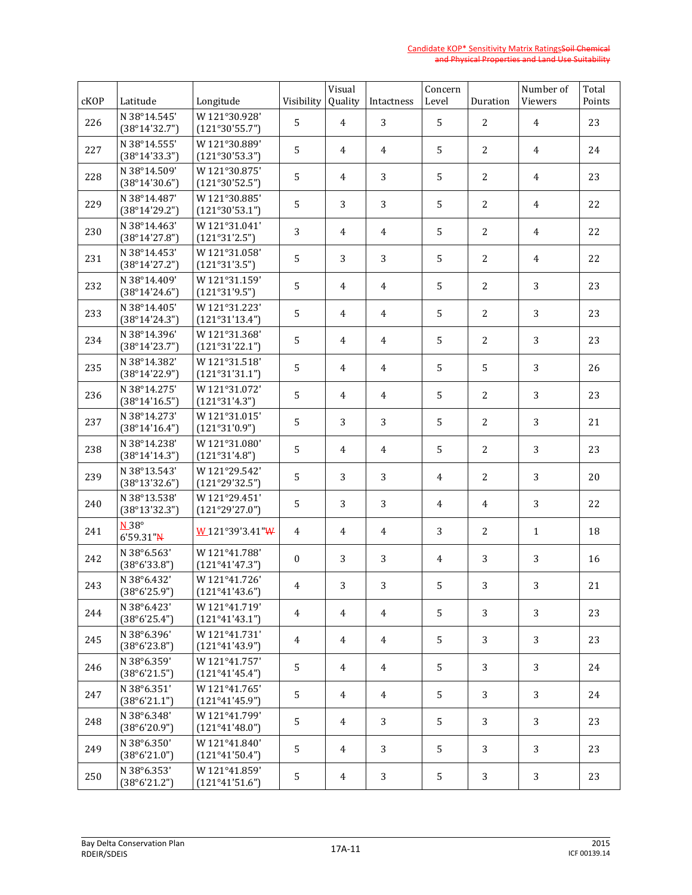| cKOP | Latitude                      | Longitude                       | Visibility     | Visual<br>Quality | Intactness     | Concern<br>Level | Duration       | Number of<br>Viewers | Total<br>Points |
|------|-------------------------------|---------------------------------|----------------|-------------------|----------------|------------------|----------------|----------------------|-----------------|
| 226  | N 38°14.545'<br>(38°14'32.7") | W 121°30.928'<br>(121°30'55.7") | 5              | 4                 | 3              | 5                | 2              | $\overline{4}$       | 23              |
| 227  | N 38°14.555'<br>(38°14'33.3") | W121°30.889'<br>(121°30'53.3")  | 5              | 4                 | 4              | 5                | 2              | $\overline{4}$       | 24              |
| 228  | N 38°14.509'<br>(38°14'30.6") | W121°30.875'<br>(121°30'52.5")  | 5              | 4                 | 3              | 5                | 2              | 4                    | 23              |
| 229  | N 38°14.487'<br>(38°14'29.2") | W121°30.885'<br>(121°30'53.1")  | 5              | 3                 | 3              | 5                | 2              | 4                    | 22              |
| 230  | N 38°14.463'<br>(38°14'27.8") | W121°31.041'<br>(121°31'2.5")   | 3              | 4                 | 4              | 5                | 2              | 4                    | 22              |
| 231  | N 38°14.453'<br>(38°14'27.2") | W121°31.058'<br>(121°31'3.5")   | 5              | 3                 | 3              | 5                | 2              | 4                    | 22              |
| 232  | N 38°14.409'<br>(38°14'24.6") | W121°31.159'<br>(121°31'9.5")   | 5              | 4                 | $\overline{4}$ | 5                | 2              | 3                    | 23              |
| 233  | N 38°14.405'<br>(38°14'24.3") | W121°31.223'<br>(121°31'13.4")  | 5              | 4                 | $\overline{4}$ | 5                | $\overline{2}$ | 3                    | 23              |
| 234  | N 38°14.396'<br>(38°14'23.7") | W 121°31.368'<br>(121°31'22.1") | 5              | 4                 | $\overline{4}$ | 5                | $\overline{2}$ | 3                    | 23              |
| 235  | N 38°14.382'<br>(38°14'22.9") | W 121°31.518'<br>(121°31'31.1") | 5              | 4                 | $\overline{4}$ | 5                | 5              | 3                    | 26              |
| 236  | N 38°14.275'<br>(38°14'16.5") | W 121°31.072'<br>(121°31'4.3")  | 5              | 4                 | 4              | 5                | $\overline{2}$ | 3                    | 23              |
| 237  | N 38°14.273'<br>(38°14'16.4") | W121°31.015'<br>(121°31'0.9")   | 5              | 3                 | 3              | 5                | $\overline{2}$ | 3                    | 21              |
| 238  | N 38°14.238'<br>(38°14'14.3") | W 121°31.080'<br>(121°31'4.8")  | 5              | 4                 | 4              | 5                | $\overline{2}$ | 3                    | 23              |
| 239  | N 38°13.543'<br>(38°13'32.6") | W 121°29.542'<br>(121°29'32.5") | 5              | 3                 | 3              | 4                | $\overline{2}$ | 3                    | 20              |
| 240  | N 38°13.538'<br>(38°13'32.3") | W 121°29.451'<br>(121°29'27.0") | 5              | 3                 | 3              | 4                | 4              | 3                    | 22              |
| 241  | $N.38^\circ$<br>$6'59.31''$ N | W121°39'3.41"W                  | $\overline{4}$ | 4                 | 4              | 3                | 2              | $\mathbf{1}$         | 18              |
| 242  | N 38°6.563'<br>(38°6'33.8")   | W 121°41.788'<br>(121°41'47.3") | $\mathbf{0}$   | 3                 | 3              | 4                | 3              | 3                    | 16              |
| 243  | N 38°6.432'<br>(38°6'25.9")   | W 121°41.726'<br>(121°41'43.6") | 4              | 3                 | 3              | 5                | 3              | 3 <sup>1</sup>       | 21              |
| 244  | N 38°6.423'<br>(38°6'25.4")   | W121°41.719'<br>(121°41'43.1")  | 4              | 4                 | 4              | 5                | 3              | 3                    | 23              |
| 245  | N 38°6.396'<br>(38°6'23.8")   | W 121°41.731'<br>(121°41'43.9") | 4              | 4                 | 4              | 5                | 3              | 3                    | 23              |
| 246  | N 38°6.359'<br>(38°6'21.5")   | W121°41.757'<br>(121°41'45.4")  | 5              | 4                 | $\overline{4}$ | 5                | 3              | 3                    | 24              |
| 247  | N 38°6.351'<br>(38°6'21.1")   | W 121°41.765'<br>(121°41'45.9") | 5              | 4                 | $\overline{4}$ | 5                | 3              | 3                    | 24              |
| 248  | N 38°6.348'<br>(38°6'20.9")   | W 121°41.799'<br>(121°41'48.0") | 5              | 4                 | 3              | 5                | 3              | 3                    | 23              |
| 249  | N 38°6.350'<br>(38°6'21.0")   | W121°41.840'<br>(121°41'50.4")  | 5              | 4                 | 3              | 5                | 3              | 3                    | 23              |
| 250  | N 38°6.353'<br>(38°6'21.2")   | W121°41.859'<br>(121°41'51.6")  | 5              | 4                 | 3              | 5                | 3              | 3                    | 23              |